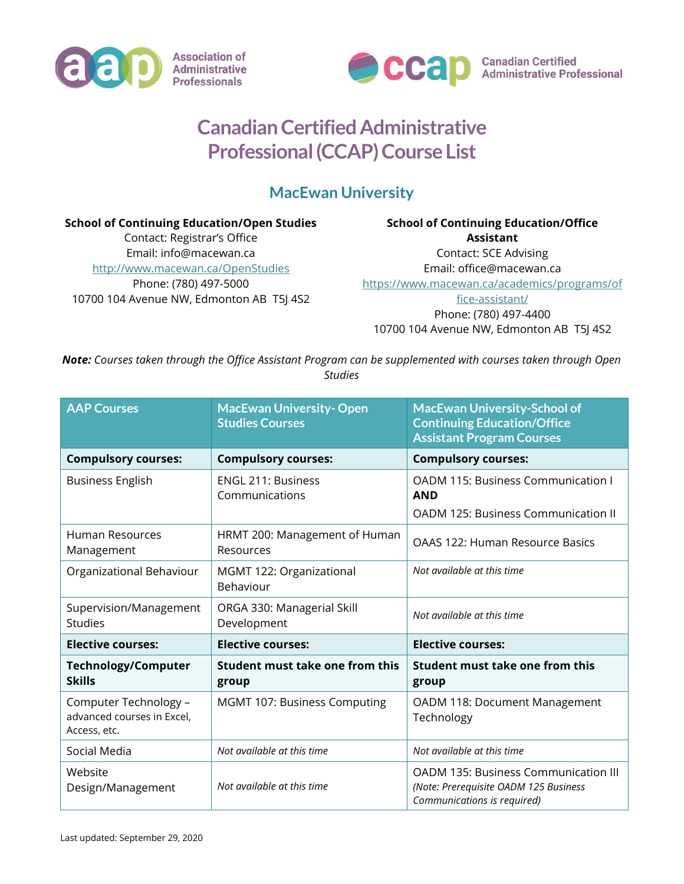



**Canadian Certified<br>Administrative Professional** 

## **Canadian Certified Administrative Professional (CCAP) Course List**

## **MacEwan University**

**School of Continuing Education/Open Studies** Contact: Registrar's Office Email: info@macewan.ca <http://www.macewan.ca/OpenStudies> Phone: (780) 497-5000 10700 104 Avenue NW, Edmonton AB T5J 4S2

## **School of Continuing Education/Office Assistant** Contact: SCE Advising Email: office@macewan.ca [https://www.macewan.ca/academics/programs/of](https://www.macewan.ca/academics/programs/office-assistant/) [fice-assistant/](https://www.macewan.ca/academics/programs/office-assistant/) Phone: (780) 497-4400

10700 104 Avenue NW, Edmonton AB T5J 4S2

*Note: Courses taken through the Office Assistant Program can be supplemented with courses taken through Open Studies*

| <b>AAP Courses</b>                                                  | <b>MacEwan University-Open</b><br><b>Studies Courses</b> | <b>MacEwan University-School of</b><br><b>Continuing Education/Office</b><br><b>Assistant Program Courses</b>       |
|---------------------------------------------------------------------|----------------------------------------------------------|---------------------------------------------------------------------------------------------------------------------|
| <b>Compulsory courses:</b>                                          | <b>Compulsory courses:</b>                               | <b>Compulsory courses:</b>                                                                                          |
| <b>Business English</b>                                             | <b>ENGL 211: Business</b><br>Communications              | OADM 115: Business Communication I<br><b>AND</b><br>OADM 125: Business Communication II                             |
|                                                                     |                                                          |                                                                                                                     |
| <b>Human Resources</b><br>Management                                | HRMT 200: Management of Human<br>Resources               | OAAS 122: Human Resource Basics                                                                                     |
| Organizational Behaviour                                            | MGMT 122: Organizational<br>Behaviour                    | Not available at this time                                                                                          |
| Supervision/Management<br><b>Studies</b>                            | ORGA 330: Managerial Skill<br>Development                | Not available at this time                                                                                          |
| <b>Elective courses:</b>                                            | <b>Elective courses:</b>                                 | <b>Elective courses:</b>                                                                                            |
| <b>Technology/Computer</b><br><b>Skills</b>                         | Student must take one from this<br>group                 | Student must take one from this<br>group                                                                            |
| Computer Technology -<br>advanced courses in Excel,<br>Access, etc. | MGMT 107: Business Computing                             | OADM 118: Document Management<br>Technology                                                                         |
| Social Media                                                        | Not available at this time                               | Not available at this time                                                                                          |
| Website<br>Design/Management                                        | Not available at this time                               | <b>OADM 135: Business Communication III</b><br>(Note: Prerequisite OADM 125 Business<br>Communications is required) |